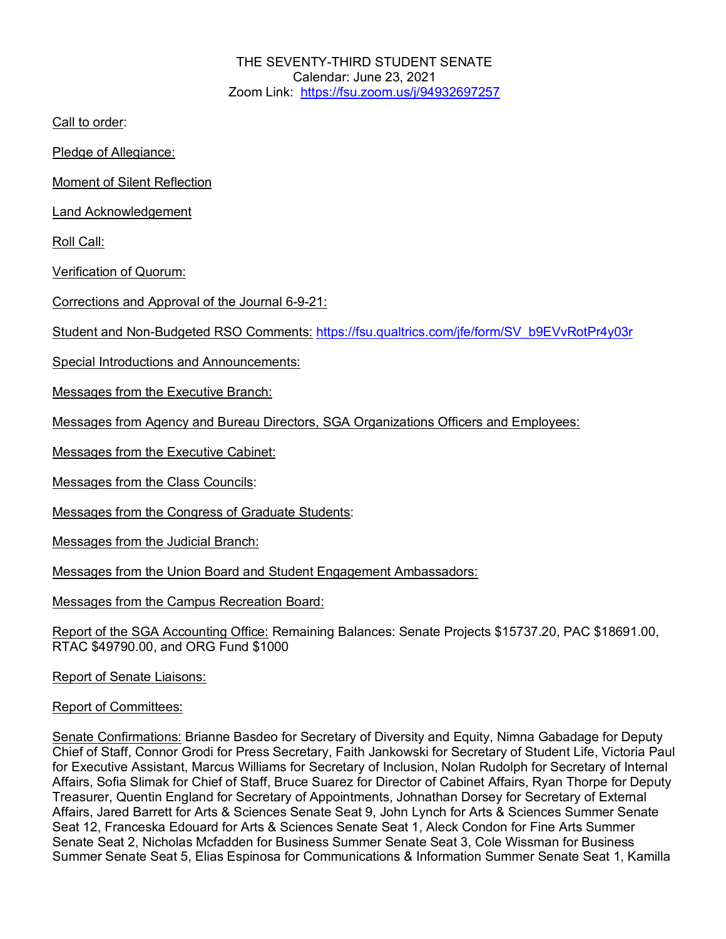THE SEVENTY-THIRD STUDENT SENATE Calendar: June 23, 2021 Zoom Link: https://fsu.zoom.us/j/94932697257

Call to order:

Pledge of Allegiance:

Moment of Silent Reflection

Land Acknowledgement

Roll Call:

Verification of Quorum:

Corrections and Approval of the Journal 6-9-21:

Student and Non-Budgeted RSO Comments: https://fsu.qualtrics.com/jfe/form/SV\_b9EVvRotPr4y03r

Special Introductions and Announcements:

Messages from the Executive Branch:

Messages from Agency and Bureau Directors, SGA Organizations Officers and Employees:

Messages from the Executive Cabinet:

Messages from the Class Councils:

Messages from the Congress of Graduate Students:

Messages from the Judicial Branch:

Messages from the Union Board and Student Engagement Ambassadors:

Messages from the Campus Recreation Board:

Report of the SGA Accounting Office: Remaining Balances: Senate Projects \$15737.20, PAC \$18691.00, RTAC \$49790.00, and ORG Fund \$1000

Report of Senate Liaisons:

Report of Committees:

Senate Confirmations: Brianne Basdeo for Secretary of Diversity and Equity, Nimna Gabadage for Deputy Chief of Staff, Connor Grodi for Press Secretary, Faith Jankowski for Secretary of Student Life, Victoria Paul for Executive Assistant, Marcus Williams for Secretary of Inclusion, Nolan Rudolph for Secretary of Internal Affairs, Sofia Slimak for Chief of Staff, Bruce Suarez for Director of Cabinet Affairs, Ryan Thorpe for Deputy Treasurer, Quentin England for Secretary of Appointments, Johnathan Dorsey for Secretary of External Affairs, Jared Barrett for Arts & Sciences Senate Seat 9, John Lynch for Arts & Sciences Summer Senate Seat 12, Franceska Edouard for Arts & Sciences Senate Seat 1, Aleck Condon for Fine Arts Summer Senate Seat 2, Nicholas Mcfadden for Business Summer Senate Seat 3, Cole Wissman for Business Summer Senate Seat 5, Elias Espinosa for Communications & Information Summer Senate Seat 1, Kamilla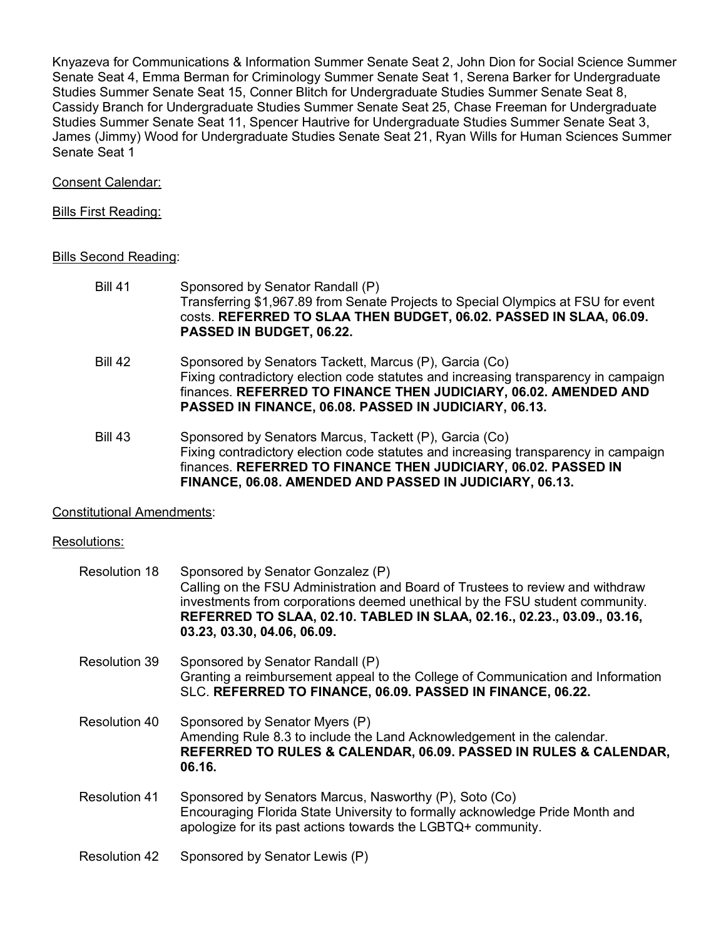Knyazeva for Communications & Information Summer Senate Seat 2, John Dion for Social Science Summer Senate Seat 4, Emma Berman for Criminology Summer Senate Seat 1, Serena Barker for Undergraduate Studies Summer Senate Seat 15, Conner Blitch for Undergraduate Studies Summer Senate Seat 8, Cassidy Branch for Undergraduate Studies Summer Senate Seat 25, Chase Freeman for Undergraduate Studies Summer Senate Seat 11, Spencer Hautrive for Undergraduate Studies Summer Senate Seat 3, James (Jimmy) Wood for Undergraduate Studies Senate Seat 21, Ryan Wills for Human Sciences Summer Senate Seat 1

## Consent Calendar:

### Bills First Reading:

### Bills Second Reading:

- Bill 41 Sponsored by Senator Randall (P) Transferring \$1,967.89 from Senate Projects to Special Olympics at FSU for event costs. **REFERRED TO SLAA THEN BUDGET, 06.02. PASSED IN SLAA, 06.09. PASSED IN BUDGET, 06.22.**
- Bill 42 Sponsored by Senators Tackett, Marcus (P), Garcia (Co) Fixing contradictory election code statutes and increasing transparency in campaign finances. **REFERRED TO FINANCE THEN JUDICIARY, 06.02. AMENDED AND PASSED IN FINANCE, 06.08. PASSED IN JUDICIARY, 06.13.**
- Bill 43 Sponsored by Senators Marcus, Tackett (P), Garcia (Co) Fixing contradictory election code statutes and increasing transparency in campaign finances. **REFERRED TO FINANCE THEN JUDICIARY, 06.02. PASSED IN FINANCE, 06.08. AMENDED AND PASSED IN JUDICIARY, 06.13.**

# Constitutional Amendments:

# Resolutions:

| <b>Resolution 18</b> | Sponsored by Senator Gonzalez (P)<br>Calling on the FSU Administration and Board of Trustees to review and withdraw<br>investments from corporations deemed unethical by the FSU student community.<br>REFERRED TO SLAA, 02.10. TABLED IN SLAA, 02.16., 02.23., 03.09., 03.16,<br>03.23, 03.30, 04.06, 06.09. |
|----------------------|---------------------------------------------------------------------------------------------------------------------------------------------------------------------------------------------------------------------------------------------------------------------------------------------------------------|
| <b>Resolution 39</b> | Sponsored by Senator Randall (P)<br>Granting a reimbursement appeal to the College of Communication and Information<br>SLC. REFERRED TO FINANCE, 06.09. PASSED IN FINANCE, 06.22.                                                                                                                             |
| Resolution 40        | Sponsored by Senator Myers (P)<br>Amending Rule 8.3 to include the Land Acknowledgement in the calendar.<br>REFERRED TO RULES & CALENDAR, 06.09. PASSED IN RULES & CALENDAR,<br>06.16.                                                                                                                        |
| <b>Resolution 41</b> | Sponsored by Senators Marcus, Nasworthy (P), Soto (Co)<br>Encouraging Florida State University to formally acknowledge Pride Month and<br>apologize for its past actions towards the LGBTQ+ community.                                                                                                        |
| <b>Resolution 42</b> | Sponsored by Senator Lewis (P)                                                                                                                                                                                                                                                                                |